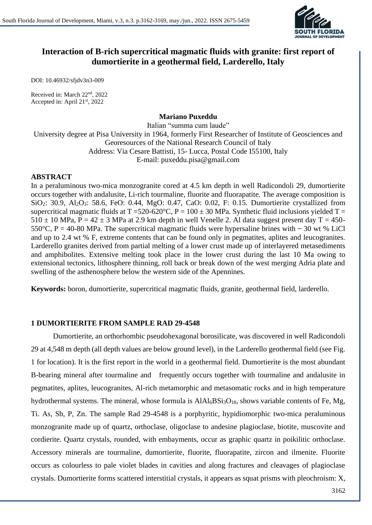

# **Interaction of B-rich supercritical magmatic fluids with granite: first report of dumortierite in a geothermal field, Larderello, Italy**

DOI: 10.46932/sfjdv3n3-009

Received in: March 22nd, 2022 Accepted in: April 21st, 2022

#### **Mariano Puxeddu**

Italian "summa cum laude" University degree at Pisa University in 1964, formerly First Researcher of Institute of Geosciences and Georesources of the National Research Council of Italy Address: Via Cesare Battisti, 15- Lucca, Postal Code I55100, Italy E-mail: puxeddu.pisa@gmail.com

#### **ABSTRACT**

In a peraluminous two-mica monzogranite cored at 4.5 km depth in well Radicondoli 29, dumortierite occurs together with andalusite, Li-rich tourmaline, fluorite and fluorapatite. The average composition is SiO2: 30.9, Al2O3: 58.6, FeO: 0.44, MgO: 0.47, CaO: 0.02, F: 0.15. Dumortierite crystallized from supercritical magmatic fluids at  $T = 520-620$ °C,  $P = 100 \pm 30$  MPa. Synthetic fluid inclusions yielded  $T =$  $510 \pm 10$  MPa, P = 42  $\pm$  3 MPa at 2.9 km depth in well Venelle 2. Al data suggest present day T = 450-550°C, P = 40-80 MPa. The supercritical magmatic fluids were hypersaline brines with  $\sim$  30 wt % LiCl and up to 2.4 wt % F, extreme contents that can be found only in pegmatites, aplites and leucogranites. Larderello granites derived from partial melting of a lower crust made up of interlayered metasediments and amphibolites. Extensive melting took place in the lower crust during the last 10 Ma owing to extensional tectonics, lithosphere thinning, roll back or break down of the west merging Adria plate and swelling of the asthenosphere below the western side of the Apennines.

**Keywords:** boron, dumortierite, supercritical magmatic fluids, granite, geothermal field, larderello.

## **1 DUMORTIERITE FROM SAMPLE RAD 29-4548**

Dumortierite, an orthorhombic pseudohexagonal borosilicate, was discovered in well Radicondoli 29 at 4,548 m depth (all depth values are below ground level), in the Larderello geothermal field (see Fig. 1 for location). It is the first report in the world in a geothermal field. Dumortierite is the most abundant B-bearing mineral after tourmaline and frequently occurs together with tourmaline and andalusite in pegmatites, aplites, leucogranites, Al-rich metamorphic and metasomatic rocks and in high temperature hydrothermal systems. The mineral, whose formula is  $AIAI_6BSi_3O_{18}$ , shows variable contents of Fe, Mg, Ti. As, Sb, P, Zn. The sample Rad 29-4548 is a porphyritic, hypidiomorphic two-mica peraluminous monzogranite made up of quartz, orthoclase, oligoclase to andesine plagioclase, biotite, muscovite and cordierite. Quartz crystals, rounded, with embayments, occur as graphic quartz in poikilitic orthoclase. Accessory minerals are tourmaline, dumortierite, fluorite, fluorapatite, zircon and ilmenite. Fluorite occurs as colourless to pale violet blades in cavities and along fractures and cleavages of plagioclase crystals. Dumortierite forms scattered interstitial crystals, it appears as squat prisms with pleochroism: X,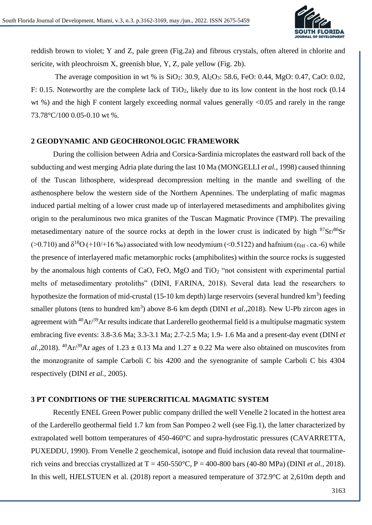

reddish brown to violet; Y and Z, pale green (Fig.2a) and fibrous crystals, often altered in chlorite and sericite, with pleochroism X, greenish blue, Y, Z, pale yellow (Fig. 2b).

The average composition in wt % is  $SiO_2$ : 30.9,  $Al_2O_3$ : 58.6, FeO: 0.44, MgO: 0.47, CaO: 0.02, F: 0.15. Noteworthy are the complete lack of  $TiO<sub>2</sub>$ , likely due to its low content in the host rock (0.14 wt %) and the high F content largely exceeding normal values generally <0.05 and rarely in the range 73.78°C/100 0.05-0.10 wt %.

#### **2 GEODYNAMIC AND GEOCHRONOLOGIC FRAMEWORK**

During the collision between Adria and Corsica-Sardinia microplates the eastward roll back of the subducting and west merging Adria plate during the last 10 Ma (MONGELLI *et al.*, 1998) caused thinning of the Tuscan lithosphere, widespread decompression melting in the mantle and swelling of the asthenosphere below the western side of the Northern Apennines. The underplating of mafic magmas induced partial melting of a lower crust made up of interlayered metasediments and amphibolites giving origin to the peraluminous two mica granites of the Tuscan Magmatic Province (TMP). The prevailing metasedimentary nature of the source rocks at depth in the lower crust is indicated by high  $87\text{Sr}/86\text{Sr}$ ( $>0.710$ ) and  $\delta^{18}O (+10/16\%)$  associated with low neodymium (<0.5122) and hafnium ( $\epsilon_{\text{Hf}}$  < ca.-6) while the presence of interlayered mafic metamorphic rocks (amphibolites) within the source rocks is suggested by the anomalous high contents of CaO, FeO, MgO and  $TiO<sub>2</sub>$  "not consistent with experimental partial melts of metasedimentary protoliths" (DINI, FARINA, 2018). Several data lead the researchers to hypothesize the formation of mid-crustal (15-10 km depth) large reservoirs (several hundred  $km^3$ ) feeding smaller plutons (tens to hundred  $km^3$ ) above 8-6 km depth (DINI *et al.*, 2018). New U-Pb zircon ages in agreement with  $40Ar^{39}$ Ar results indicate that Larderello geothermal field is a multipulse magmatic system embracing five events: 3.8-3.6 Ma; 3.3-3.1 Ma; 2.7-2.5 Ma; 1.9- 1.6 Ma and a present-day event (DINI *et al.*,2018). <sup>40</sup>Ar<sup>/39</sup>Ar ages of 1.23  $\pm$  0.13 Ma and 1.27  $\pm$  0.22 Ma were also obtained on muscovites from the monzogranite of sample Carboli C bis 4200 and the syenogranite of sample Carboli C bis 4304 respectively (DINI *et al.*, 2005).

#### **3 PT CONDITIONS OF THE SUPERCRITICAL MAGMATIC SYSTEM**

Recently ENEL Green Power public company drilled the well Venelle 2 located in the hottest area of the Larderello geothermal field 1.7 km from San Pompeo 2 well (see Fig.1), the latter characterized by extrapolated well bottom temperatures of 450-460°C and supra-hydrostatic pressures (CAVARRETTA, PUXEDDU, 1990). From Venelle 2 geochemical, isotope and fluid inclusion data reveal that tourmalinerich veins and breccias crystallized at  $T = 450-550$ °C,  $P = 400-800$  bars (40-80 MPa) (DINI *et al.*, 2018). In this well, HJELSTUEN et al. (2018) report a measured temperature of 372.9°C at 2,610m depth and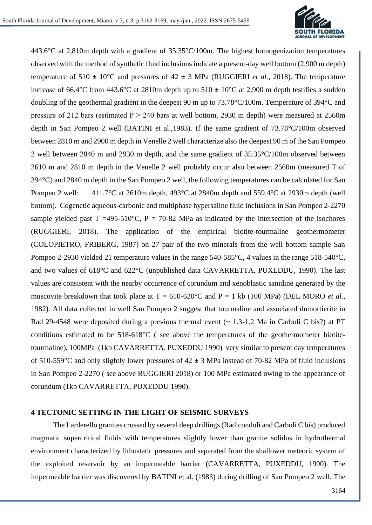

443.6°C at 2,810m depth with a gradient of 35.35°C/100m. The highest homogenization temperatures observed with the method of synthetic fluid inclusions indicate a present-day well bottom (2,900 m depth) temperature of 510 **±** 10°C and pressures of 42 **±** 3 MPa (RUGGIERI *et al.*, 2018). The temperature increase of 66.4°C from 443.6°C at 2810m depth up to 510 **±** 10°C at 2,900 m depth testifies a sudden doubling of the geothermal gradient in the deepest 90 m up to 73.78°C/100m. Temperature of 394°C and pressure of 212 bars (estimated  $P \ge 240$  bars at well bottom, 2930 m depth) were measured at 2560m depth in San Pompeo 2 well (BATINI et al.,1983). If the same gradient of 73.78°C/100m observed between 2810 m and 2900 m depth in Venelle 2 well characterize also the deepest 90 m of the San Pompeo 2 well between 2840 m and 2930 m depth, and the same gradient of 35.35°C/100m observed between 2610 m and 2810 m depth in the Venelle 2 well probably occur also between 2560m (measured T of 394°C) and 2840 m depth in the San Pompeo 2 well, the following temperatures can be calculated for San Pompeo 2 well: 411.7°C at 2610m depth, 493°C at 2840m depth and 559.4°C at 2930m depth (well bottom). Cogenetic aqueous-carbonic and multiphase hypersaline fluid inclusions in San Pompeo 2-2270 sample yielded past  $T = 495-510^{\circ}$ C,  $P = 70-82$  MPa as indicated by the intersection of the isochores (RUGGIERI, 2018). The application of the empirical biotite-tourmaline geothermometer (COLOPIETRO, FRIBERG, 1987) on 27 pair of the two minerals from the well bottom sample San Pompeo 2-2930 yielded 21 temperature values in the range 540-585°C, 4 values in the range 518-540°C, and two values of 618°C and 622°C (unpublished data CAVARRETTA, PUXEDDU, 1990). The last values are consistent with the nearby occurrence of corundum and xenoblastic sanidine generated by the muscovite breakdown that took place at  $T = 610{\text -}620^{\circ}\text{C}$  and  $P = 1$  kb (100 MPa) (DEL MORO *et al.*, 1982). All data collected in well San Pompeo 2 suggest that tourmaline and associated dumortierite in Rad 29-4548 were deposited during a previous thermal event  $\sim 1.3$ -1.2 Ma in Carboli C bis?) at PT conditions estimated to be 518-618°C ( see above the temperatures of the geothermometer biotitetourmaline), 100MPa (1kb CAVARRETTA, PUXEDDU 1990) very similar to present day temperatures of 510-559°C and only slightly lower pressures of 42 **±** 3 MPa instead of 70-82 MPa of fluid inclusions in San Pompeo 2-2270 ( see above RUGGIERI 2018) or 100 MPa estimated owing to the appearance of corundum (1kb CAVARRETTA, PUXEDDU 1990).

#### **4 TECTONIC SETTING IN THE LIGHT OF SEISMIC SURVEYS**

The Larderello granites crossed by several deep drillings (Radicondoli and Carboli C bis) produced magmatic supercritical fluids with temperatures slightly lower than granite solidus in hydrothermal environment characterized by lithostatic pressures and separated from the shallower meteoric system of the exploited reservoir by an impermeable barrier (CAVARRETTA, PUXEDDU, 1990). The impermeable barrier was discovered by BATINI et al*.* (1983) during drilling of San Pompeo 2 well. The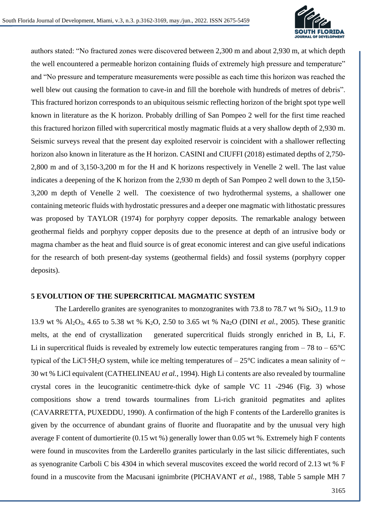

authors stated: "No fractured zones were discovered between 2,300 m and about 2,930 m, at which depth the well encountered a permeable horizon containing fluids of extremely high pressure and temperature" and "No pressure and temperature measurements were possible as each time this horizon was reached the well blew out causing the formation to cave-in and fill the borehole with hundreds of metres of debris". This fractured horizon corresponds to an ubiquitous seismic reflecting horizon of the bright spot type well known in literature as the K horizon. Probably drilling of San Pompeo 2 well for the first time reached this fractured horizon filled with supercritical mostly magmatic fluids at a very shallow depth of 2,930 m. Seismic surveys reveal that the present day exploited reservoir is coincident with a shallower reflecting horizon also known in literature as the H horizon. CASINI and CIUFFI (2018) estimated depths of 2,750- 2,800 m and of 3,150-3,200 m for the H and K horizons respectively in Venelle 2 well. The last value indicates a deepening of the K horizon from the 2,930 m depth of San Pompeo 2 well down to the 3,150- 3,200 m depth of Venelle 2 well. The coexistence of two hydrothermal systems, a shallower one containing meteoric fluids with hydrostatic pressures and a deeper one magmatic with lithostatic pressures was proposed by TAYLOR (1974) for porphyry copper deposits. The remarkable analogy between geothermal fields and porphyry copper deposits due to the presence at depth of an intrusive body or magma chamber as the heat and fluid source is of great economic interest and can give useful indications for the research of both present-day systems (geothermal fields) and fossil systems (porphyry copper deposits).

#### **5 EVOLUTION OF THE SUPERCRITICAL MAGMATIC SYSTEM**

The Larderello granites are syenogranites to monzogranites with 73.8 to 78.7 wt % SiO<sub>2</sub>, 11.9 to 13.9 wt % Al2O3, 4.65 to 5.38 wt % K2O, 2.50 to 3.65 wt % Na2O (DINI *et al.*, 2005). These granitic melts, at the end of crystallization generated supercritical fluids strongly enriched in B, Li, F. Li in supercritical fluids is revealed by extremely low eutectic temperatures ranging from  $-78$  to  $-65^{\circ}$ C typical of the LiCl<sup>·5</sup>H<sub>2</sub>O system, while ice melting temperatures of  $-25^{\circ}$ C indicates a mean salinity of  $\sim$ 30 wt % LiCl equivalent (CATHELINEAU *et al.*, 1994). High Li contents are also revealed by tourmaline crystal cores in the leucogranitic centimetre-thick dyke of sample VC 11 -2946 (Fig. 3) whose compositions show a trend towards tourmalines from Li-rich granitoid pegmatites and aplites (CAVARRETTA, PUXEDDU, 1990). A confirmation of the high F contents of the Larderello granites is given by the occurrence of abundant grains of fluorite and fluorapatite and by the unusual very high average F content of dumortierite (0.15 wt %) generally lower than 0.05 wt %. Extremely high F contents were found in muscovites from the Larderello granites particularly in the last silicic differentiates, such as syenogranite Carboli C bis 4304 in which several muscovites exceed the world record of 2.13 wt % F found in a muscovite from the Macusani ignimbrite (PICHAVANT *et al.*, 1988, Table 5 sample MH 7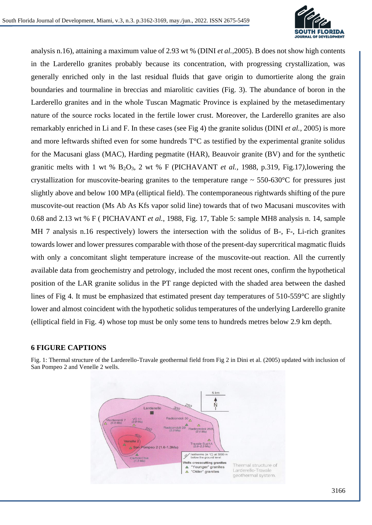

analysis n.16), attaining a maximum value of 2.93 wt % (DINI *et al.*,2005). B does not show high contents in the Larderello granites probably because its concentration, with progressing crystallization, was generally enriched only in the last residual fluids that gave origin to dumortierite along the grain boundaries and tourmaline in breccias and miarolitic cavities (Fig. 3). The abundance of boron in the Larderello granites and in the whole Tuscan Magmatic Province is explained by the metasedimentary nature of the source rocks located in the fertile lower crust. Moreover, the Larderello granites are also remarkably enriched in Li and F. In these cases (see Fig 4) the granite solidus (DINI *et al.*, 2005) is more and more leftwards shifted even for some hundreds T°C as testified by the experimental granite solidus for the Macusani glass (MAC), Harding pegmatite (HAR), Beauvoir granite (BV) and for the synthetic granitic melts with 1 wt %  $B_2O_3$ , 2 wt % F (PICHAVANT *et al.*, 1988, p.319, Fig.17), lowering the crystallization for muscovite-bearing granites to the temperature range  $\sim$  550-630 $\degree$ C for pressures just slightly above and below 100 MPa (elliptical field). The contemporaneous rightwards shifting of the pure muscovite-out reaction (Ms Ab As Kfs vapor solid line) towards that of two Macusani muscovites with 0.68 and 2.13 wt % F ( PICHAVANT *et al.*, 1988, Fig. 17, Table 5: sample MH8 analysis n. 14, sample MH 7 analysis n.16 respectively) lowers the intersection with the solidus of B-, F-, Li-rich granites towards lower and lower pressures comparable with those of the present-day supercritical magmatic fluids with only a concomitant slight temperature increase of the muscovite-out reaction. All the currently available data from geochemistry and petrology, included the most recent ones, confirm the hypothetical position of the LAR granite solidus in the PT range depicted with the shaded area between the dashed lines of Fig 4. It must be emphasized that estimated present day temperatures of 510-559°C are slightly lower and almost coincident with the hypothetic solidus temperatures of the underlying Larderello granite (elliptical field in Fig. 4) whose top must be only some tens to hundreds metres below 2.9 km depth.

## **6 FIGURE CAPTIONS**



Fig. 1: Thermal structure of the Larderello-Travale geothermal field from Fig 2 in Dini et al. (2005) updated with inclusion of San Pompeo 2 and Venelle 2 wells.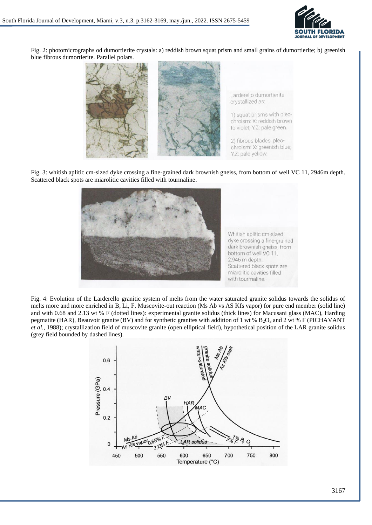

Fig. 2: photomicrographs od dumortierite crystals: a) reddish brown squat prism and small grains of dumortierite; b) greenish blue fibrous dumortierite. Parallel polars.



Fig. 3: whitish aplitic cm-sized dyke crossing a fine-grained dark brownish gneiss, from bottom of well VC 11, 2946m depth. Scattered black spots are miarolitic cavities filled with tourmaline.



Fig. 4: Evolution of the Larderello granitic system of melts from the water saturated granite solidus towards the solidus of melts more and more enriched in B, Li, F. Muscovite-out reaction (Ms Ab vs AS Kfs vapor) for pure end member (solid line) and with 0.68 and 2.13 wt % F (dotted lines): experimental granite solidus (thick lines) for Macusani glass (MAC), Harding pegmatite (HAR), Beauvoir granite (BV) and for synthetic granites with addition of 1 wt %  $B_2O_3$  and 2 wt % F (PICHAVANT) *et al.*, 1988); crystallization field of muscovite granite (open elliptical field), hypothetical position of the LAR granite solidus (grey field bounded by dashed lines).

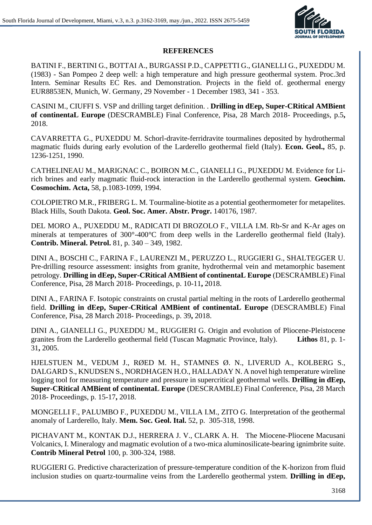

### **REFERENCES**

BATINI F., BERTINI G., BOTTAI A., BURGASSI P.D., CAPPETTI G., GIANELLI G., PUXEDDU M. (1983) - San Pompeo 2 deep well: a high temperature and high pressure geothermal system. Proc.3rd Intern. Seminar Results EC Res. and Demonstration. Projects in the field of. geothermal energy EUR8853EN, Munich, W. Germany, 29 November - 1 December 1983, 341 - 353.

CASINI M., CIUFFI S. VSP and drilling target definition. . **Drilling in dEep, Super-CRitical AMBient of continentaL Europe** (DESCRAMBLE) Final Conference, Pisa, 28 March 2018- Proceedings, p.5**,** 2018.

CAVARRETTA G., PUXEDDU M. Schorl-dravite-ferridravite tourmalines deposited by hydrothermal magmatic fluids during early evolution of the Larderello geothermal field (Italy). **Econ. Geol.,** 85, p. 1236-1251, 1990.

CATHELINEAU M., MARIGNAC C., BOIRON M.C., GIANELLI G., PUXEDDU M. Evidence for Lirich brines and early magmatic fluid-rock interaction in the Larderello geothermal system. **Geochim. Cosmochim. Acta,** 58, p.1083-1099, 1994.

COLOPIETRO M.R., FRIBERG L. M. Tourmaline-biotite as a potential geothermometer for metapelites. Black Hills, South Dakota. **Geol. Soc. Amer. Abstr. Progr.** 140176, 1987.

DEL MORO A., PUXEDDU M., RADICATI DI BROZOLO F., VILLA I.M. Rb-Sr and K-Ar ages on minerals at temperatures of 300°-400°C from deep wells in the Larderello geothermal field (Italy). **Contrib. Mineral. Petrol.** 81, p. 340 – 349, 1982.

DINI A., BOSCHI C., FARINA F., LAURENZI M., PERUZZO L., RUGGIERI G., SHALTEGGER U. Pre-drilling resource assessment: insights from granite, hydrothermal vein and metamorphic basement petrology. **Drilling in dEep, Super-CRitical AMBient of continentaL Europe** (DESCRAMBLE) Final Conference, Pisa, 28 March 2018- Proceedings, p. 10-11**,** 2018.

DINI A., FARINA F. Isotopic constraints on crustal partial melting in the roots of Larderello geothermal field. **Drilling in dEep, Super-CRitical AMBient of continentaL Europe** (DESCRAMBLE) Final Conference, Pisa, 28 March 2018- Proceedings, p. 39**,** 2018.

DINI A., GIANELLI G., PUXEDDU M., RUGGIERI G. Origin and evolution of Pliocene-Pleistocene granites from the Larderello geothermal field (Tuscan Magmatic Province, Italy). **Lithos** 81, p. 1- 31**,** 2005.

HJELSTUEN M., VEDUM J., RØED M. H., STAMNES Ø. N., LIVERUD A., KOLBERG S., DALGARD S., KNUDSEN S., NORDHAGEN H.O., HALLADAY N. A novel high temperature wireline logging tool for measuring temperature and pressure in supercritical geothermal wells. **Drilling in dEep, Super-CRitical AMBient of continentaL Europe** (DESCRAMBLE) Final Conference, Pisa, 28 March 2018- Proceedings, p. 15-17**,** 2018.

MONGELLI F., PALUMBO F., PUXEDDU M., VILLA I.M., ZITO G. Interpretation of the geothermal anomaly of Larderello, Italy. **Mem. Soc. Geol. Ital.** 52, p. 305-318, 1998.

PICHAVANT M., KONTAK D.J., HERRERA J. V., CLARK A. H. The Miocene-Pliocene Macusani Volcanics, I. Mineralogy and magmatic evolution of a two-mica aluminosilicate-bearing ignimbrite suite. **Contrib Mineral Petrol** 100, p. 300-324, 1988.

RUGGIERI G. Predictive characterization of pressure-temperature condition of the K-horizon from fluid inclusion studies on quartz-tourmaline veins from the Larderello geothermal ystem. **Drilling in dEep,**